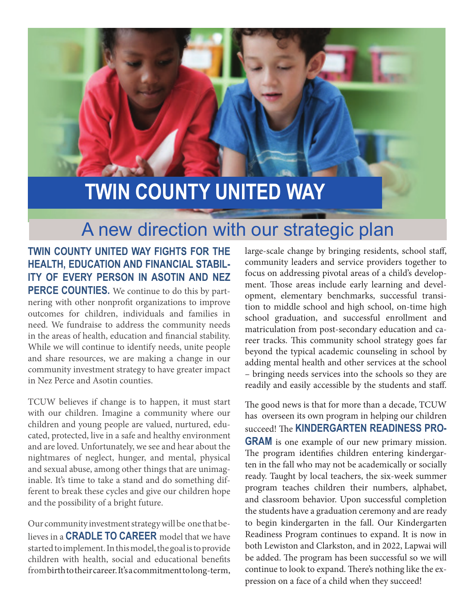# **TWIN COUNTY UNITED WAY**

# A new direction with our strategic plan

**TWIN COUNTY UNITED WAY FIGHTS FOR THE HEALTH, EDUCATION AND FINANCIAL STABIL-ITY OF EVERY PERSON IN ASOTIN AND NEZ PERCE COUNTIES.** We continue to do this by partnering with other nonprofit organizations to improve outcomes for children, individuals and families in need. We fundraise to address the community needs in the areas of health, education and financial stability. While we will continue to identify needs, unite people and share resources, we are making a change in our community investment strategy to have greater impact in Nez Perce and Asotin counties.

TCUW believes if change is to happen, it must start with our children. Imagine a community where our children and young people are valued, nurtured, educated, protected, live in a safe and healthy environment and are loved. Unfortunately, we see and hear about the nightmares of neglect, hunger, and mental, physical and sexual abuse, among other things that are unimaginable. It's time to take a stand and do something different to break these cycles and give our children hope and the possibility of a bright future.

Our community investment strategy will be one that believes in a **CRADLE TO CAREER** model that we have started to implement. In this model, the goal is to provide children with health, social and educational benefits from birth to their career. It's a commitment to long-term, large-scale change by bringing residents, school staff, community leaders and service providers together to focus on addressing pivotal areas of a child's development. Those areas include early learning and development, elementary benchmarks, successful transition to middle school and high school, on-time high school graduation, and successful enrollment and matriculation from post-secondary education and career tracks. This community school strategy goes far beyond the typical academic counseling in school by adding mental health and other services at the school – bringing needs services into the schools so they are readily and easily accessible by the students and staff.

The good news is that for more than a decade, TCUW has overseen its own program in helping our children succeed! The **KINDERGARTEN READINESS PRO-GRAM** is one example of our new primary mission. The program identifies children entering kindergarten in the fall who may not be academically or socially ready. Taught by local teachers, the six-week summer program teaches children their numbers, alphabet, and classroom behavior. Upon successful completion the students have a graduation ceremony and are ready to begin kindergarten in the fall. Our Kindergarten Readiness Program continues to expand. It is now in both Lewiston and Clarkston, and in 2022, Lapwai will be added. The program has been successful so we will continue to look to expand. There's nothing like the expression on a face of a child when they succeed!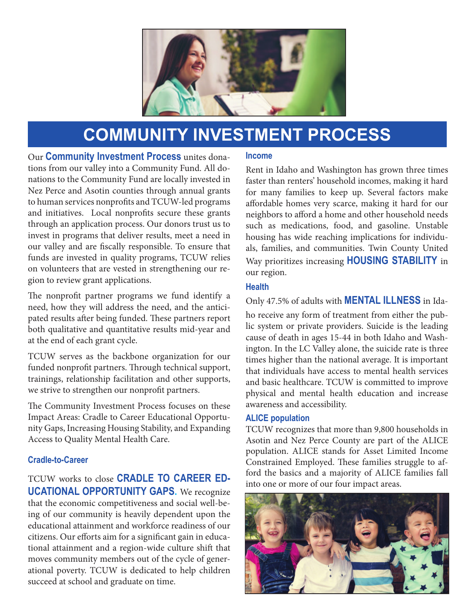

## **COMMUNITY INVESTMENT PROCESS**

Our **Community Investment Process** unites donations from our valley into a Community Fund. All donations to the Community Fund are locally invested in Nez Perce and Asotin counties through annual grants to human services nonprofits and TCUW-led programs and initiatives. Local nonprofits secure these grants through an application process. Our donors trust us to invest in programs that deliver results, meet a need in our valley and are fiscally responsible. To ensure that funds are invested in quality programs, TCUW relies on volunteers that are vested in strengthening our region to review grant applications.

The nonprofit partner programs we fund identify a need, how they will address the need, and the anticipated results after being funded. These partners report both qualitative and quantitative results mid-year and at the end of each grant cycle.

TCUW serves as the backbone organization for our funded nonprofit partners. Through technical support, trainings, relationship facilitation and other supports, we strive to strengthen our nonprofit partners.

The Community Investment Process focuses on these Impact Areas: Cradle to Career Educational Opportunity Gaps, Increasing Housing Stability, and Expanding Access to Quality Mental Health Care.

### **Cradle-to-Career**

TCUW works to close **CRADLE TO CAREER ED-UCATIONAL OPPORTUNITY GAPS.** We recognize that the economic competitiveness and social well-being of our community is heavily dependent upon the educational attainment and workforce readiness of our citizens. Our efforts aim for a significant gain in educational attainment and a region-wide culture shift that moves community members out of the cycle of generational poverty. TCUW is dedicated to help children succeed at school and graduate on time.

#### **Income**

Rent in Idaho and Washington has grown three times faster than renters' household incomes, making it hard for many families to keep up. Several factors make affordable homes very scarce, making it hard for our neighbors to afford a home and other household needs such as medications, food, and gasoline. Unstable housing has wide reaching implications for individuals, families, and communities. Twin County United Way prioritizes increasing **HOUSING STABILITY** in our region.

### **Health**

Only 47.5% of adults with **MENTAL ILLNESS** in Idaho receive any form of treatment from either the public system or private providers. Suicide is the leading cause of death in ages 15-44 in both Idaho and Washington. In the LC Valley alone, the suicide rate is three times higher than the national average. It is important that individuals have access to mental health services and basic healthcare. TCUW is committed to improve physical and mental health education and increase awareness and accessibility.

### **ALICE population**

TCUW recognizes that more than 9,800 households in Asotin and Nez Perce County are part of the ALICE population. ALICE stands for Asset Limited Income Constrained Employed. These families struggle to afford the basics and a majority of ALICE families fall into one or more of our four impact areas.

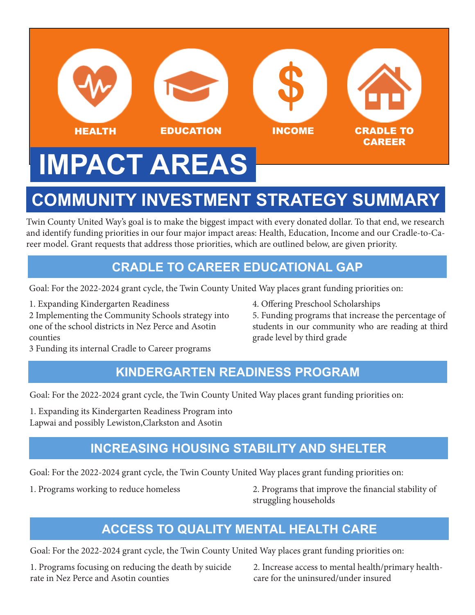# **IMPACT AREAS** HEALTH EDUCATION INCOME CRADLE TO CAREER **\$**

# **COMMUNITY INVESTMENT STRATEGY SUMMARY**

Twin County United Way's goal is to make the biggest impact with every donated dollar. To that end, we research and identify funding priorities in our four major impact areas: Health, Education, Income and our Cradle-to-Career model. Grant requests that address those priorities, which are outlined below, are given priority.

## **CRADLE TO CAREER EDUCATIONAL GAP**

Goal: For the 2022-2024 grant cycle, the Twin County United Way places grant funding priorities on:

1. Expanding Kindergarten Readiness 4. Offering Preschool Scholarships

2 Implementing the Community Schools strategy into 5. Funding programs that increase the percentage of one of the school districts in Nez Perce and Asotin students in our community who are reading at third counties grade level by third grade

3 Funding its internal Cradle to Career programs

## **KINDERGARTEN READINESS PROGRAM**

Goal: For the 2022-2024 grant cycle, the Twin County United Way places grant funding priorities on:

1. Expanding its Kindergarten Readiness Program into Lapwai and possibly Lewiston,Clarkston and Asotin

## **INCREASING HOUSING STABILITY AND SHELTER**

Goal: For the 2022-2024 grant cycle, the Twin County United Way places grant funding priorities on:

1. Programs working to reduce homeless 2. Programs that improve the financial stability of struggling households

## **ACCESS TO QUALITY MENTAL HEALTH CARE**

Goal: For the 2022-2024 grant cycle, the Twin County United Way places grant funding priorities on:

1. Programs focusing on reducing the death by suicide 2. Increase access to mental health/primary healthrate in Nez Perce and Asotin counties example the care for the uninsured/under insured